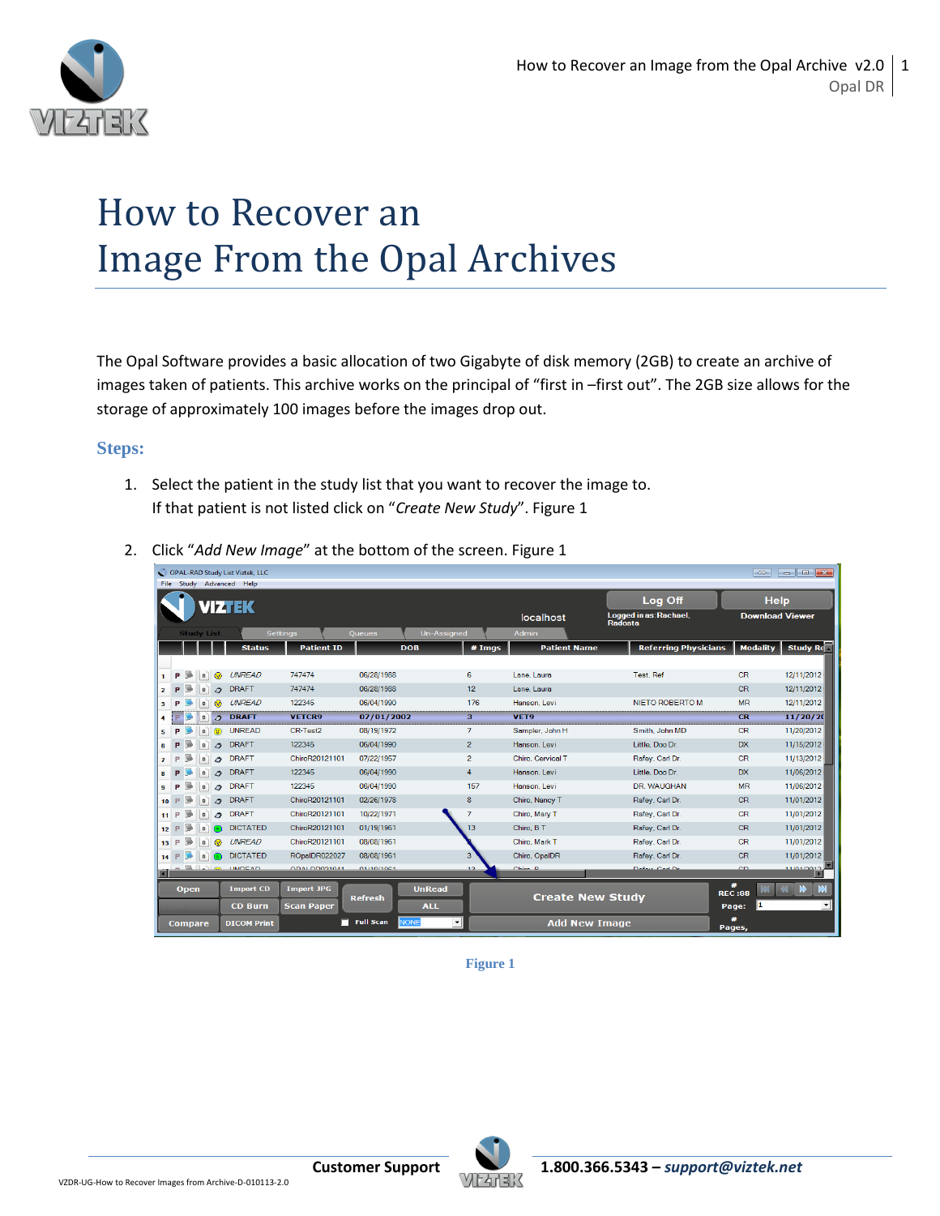

## How to Recover an Image From the Opal Archives

The Opal Software provides a basic allocation of two Gigabyte of disk memory (2GB) to create an archive of images taken of patients. This archive works on the principal of "first in –first out". The 2GB size allows for the storage of approximately 100 images before the images drop out.

## **Steps:**

1. Select the patient in the study list that you want to recover the image to. If that patient is not listed click on "*Create New Study*". Figure 1

|                 |    |      |                   |          | OPAL-RAD Study List Viztek, LLC<br>File Study Advanced Help |                   |                  |                  |                |                         |                                   | $\Rightarrow$      |                             |
|-----------------|----|------|-------------------|----------|-------------------------------------------------------------|-------------------|------------------|------------------|----------------|-------------------------|-----------------------------------|--------------------|-----------------------------|
|                 |    |      |                   |          | <b>IZTEK</b>                                                |                   |                  |                  |                |                         | Log Off                           |                    | <b>Help</b>                 |
|                 |    |      |                   |          |                                                             |                   |                  |                  |                | localhost               | Logged in as: Rachael,<br>Radosta |                    | <b>Download Viewer</b>      |
|                 |    |      | <b>Study List</b> |          |                                                             | <b>Settings</b>   | Queues           | Un-Assigned      |                | <b>Admin</b>            |                                   |                    |                             |
|                 |    |      |                   |          | <b>Status</b>                                               | <b>Patient ID</b> |                  | <b>DOB</b>       | # Imgs         | <b>Patient Name</b>     | <b>Referring Physicians</b>       | <b>Modality</b>    | Study Re                    |
|                 |    |      |                   |          |                                                             |                   |                  |                  |                |                         |                                   |                    |                             |
| 1               | P  | n.   | $\mathbf{D}$      | ⋒        | <b>UNREAD</b>                                               | 747474            | 06/28/1988       |                  | 6              | Lane, Laura             | <b>Test. Ref</b>                  | <b>CR</b>          | 12/11/2012                  |
| $\overline{2}$  | P  |      | $\mathbf{D}$      | $\sigma$ | <b>DRAFT</b>                                                | 747474            | 06/28/1988       |                  | 12             | Lane, Laura             |                                   | <b>CR</b>          | 12/11/2012                  |
| з               | P  |      | $\mathbf{D}$      | ⋒        | <b>UNREAD</b>                                               | 122345            | 06/04/1990       |                  | 176            | Hanson, Levi            | <b>NIETO ROBERTO M</b>            | <b>MR</b>          | 12/11/2012                  |
| 4               | ø  |      | $\mathbf{D}$      | $\sigma$ | <b>DRAFT</b>                                                | <b>VETCR9</b>     | 07/01/2002       |                  | з              | VET9                    |                                   | CR                 | 11/20/20                    |
| 5               | P  |      | $\mathbf{D}$      | $\sigma$ | <b>UNREAD</b>                                               | CR-Test2          | 08/19/1972       |                  | $\overline{7}$ | Sampler, John H         | Smith, John MD                    | CR                 | 11/20/2012                  |
| 6               | P  |      | $\mathbf{D}$      | $\sigma$ | <b>DRAFT</b>                                                | 122345            | 06/04/1990       |                  | $\overline{2}$ | Hanson, Levi            | Little, Doo Dr.                   | <b>DX</b>          | 11/15/2012                  |
| $\overline{7}$  | P  |      | $\mathbf{D}$      | 0        | <b>DRAFT</b>                                                | ChiroR20121101    | 07/22/1957       |                  | $\overline{2}$ | Chiro, Cervical T       | Rafey, Carl Dr.                   | <b>CR</b>          | 11/13/2012                  |
| 8               | P  |      | $\mathbf{D}$      | $\Delta$ | <b>DRAFT</b>                                                | 122345            | 06/04/1990       |                  | $\overline{4}$ | Hanson, Levi            | Little, Doo Dr.                   | <b>DX</b>          | 11/06/2012                  |
| 9               | P  |      | $\mathbf{D}$      | o        | <b>DRAFT</b>                                                | 122345            | 06/04/1990       |                  | 157            | Hanson, Levi            | DR. WAUGHAN                       | <b>MR</b>          | 11/06/2012                  |
| 10 <sup>1</sup> | P  | I.   | $\mathbf{D}$      | $\sigma$ | <b>DRAFT</b>                                                | ChiroR20121101    | 02/26/1978       |                  | 8              | Chiro, Nancy T          | Rafey, Carl Dr.                   | <b>CR</b>          | 11/01/2012                  |
| 11              | P. |      | $\mathbf{D}$      |          | <b>DRAFT</b>                                                | ChiroR20121101    | 10/22/1971       |                  | $\overline{7}$ | Chiro, Mary T           | Rafey, Carl Dr.                   | <b>CR</b>          | 11/01/2012                  |
| 12              | P  | i.   | $\mathbf{n}$      |          | <b>DICTATED</b>                                             | ChiroR20121101    | 01/19/1961       |                  | 13             | Chiro, B T              | Rafey, Carl Dr.                   | <b>CR</b>          | 11/01/2012                  |
| 13 <sup>1</sup> | P  |      | $\mathbf{n}$      |          | <b>UNREAD</b>                                               | ChiroR20121101    | 08/08/1961       |                  |                | Chiro, Mark T           | Rafey, Carl Dr.                   | <b>CR</b>          | 11/01/2012                  |
| 14              | P  |      | $\mathbf{D}$      |          | <b>DICTATED</b>                                             | ROpalDR022027     | 08/08/1961       |                  | 3              | Chiro, OpalDR           | Rafey, Carl Dr.                   | <b>CR</b>          | 11/01/2012                  |
|                 |    |      |                   |          | $-$ <b>L</b> $\sim$ $\sim$ <b>INDEAD</b>                    | <b>CARCOOLIAO</b> | 01/10/1001       |                  | 12             | Chim <sub>2</sub>       | Dafay Cad Dr.                     | CD                 | <b>CEOCLEOLET</b>           |
|                 |    | Open |                   |          | <b>Import CD</b>                                            | <b>Import JPG</b> |                  | <b>UnRead</b>    |                |                         |                                   | #<br><b>REC:88</b> | M<br><b>KIN</b><br><b>K</b> |
|                 |    |      |                   |          | <b>CD Burn</b>                                              | <b>Scan Paper</b> | <b>Refresh</b>   | <b>ALL</b>       |                | <b>Create New Study</b> |                                   | 11<br>Page:        | 츠                           |
|                 |    |      | <b>Compare</b>    |          | <b>DICOM Print</b>                                          | п                 | <b>Full Scan</b> | <b>NONE</b><br>ᅬ |                | <b>Add New Image</b>    |                                   | #<br>Pages,        |                             |

2. Click "*Add New Image*" at the bottom of the screen. Figure 1

**Figure 1**